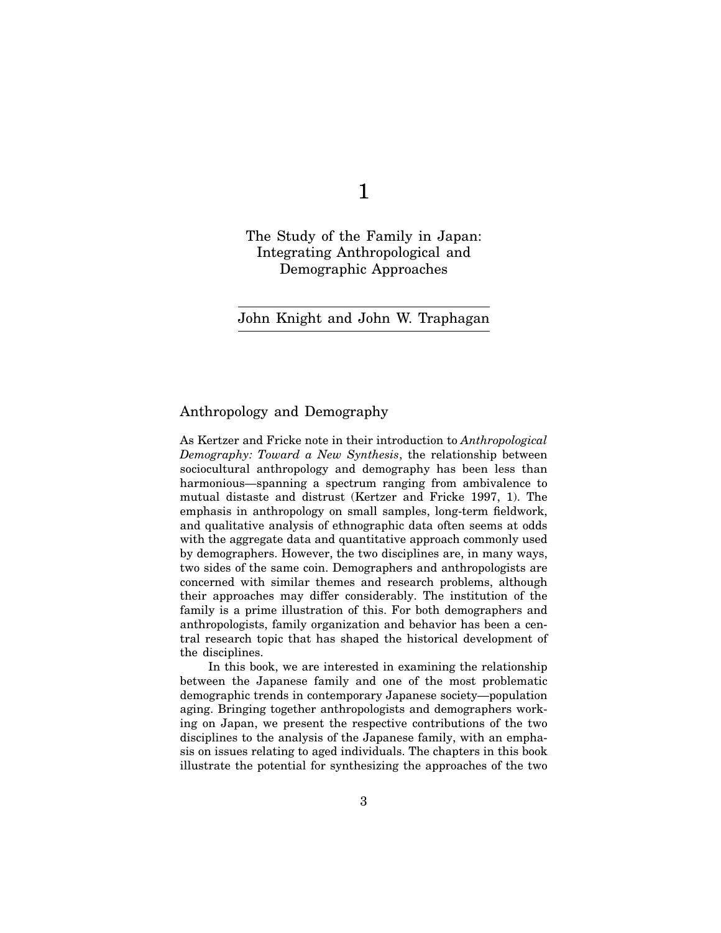# The Study of the Family in Japan: Integrating Anthropological and Demographic Approaches

## John Knight and John W. Traphagan

## Anthropology and Demography

As Kertzer and Fricke note in their introduction to Anthropological Demography: Toward a New Synthesis, the relationship between sociocultural anthropology and demography has been less than harmonious—spanning a spectrum ranging from ambivalence to mutual distaste and distrust (Kertzer and Fricke 1997, 1). The emphasis in anthropology on small samples, long-term fieldwork, and qualitative analysis of ethnographic data often seems at odds with the aggregate data and quantitative approach commonly used by demographers. However, the two disciplines are, in many ways, two sides of the same coin. Demographers and anthropologists are concerned with similar themes and research problems, although their approaches may differ considerably. The institution of the family is a prime illustration of this. For both demographers and anthropologists, family organization and behavior has been a central research topic that has shaped the historical development of the disciplines.

In this book, we are interested in examining the relationship between the Japanese family and one of the most problematic demographic trends in contemporary Japanese society—population aging. Bringing together anthropologists and demographers working on Japan, we present the respective contributions of the two disciplines to the analysis of the Japanese family, with an emphasis on issues relating to aged individuals. The chapters in this book illustrate the potential for synthesizing the approaches of the two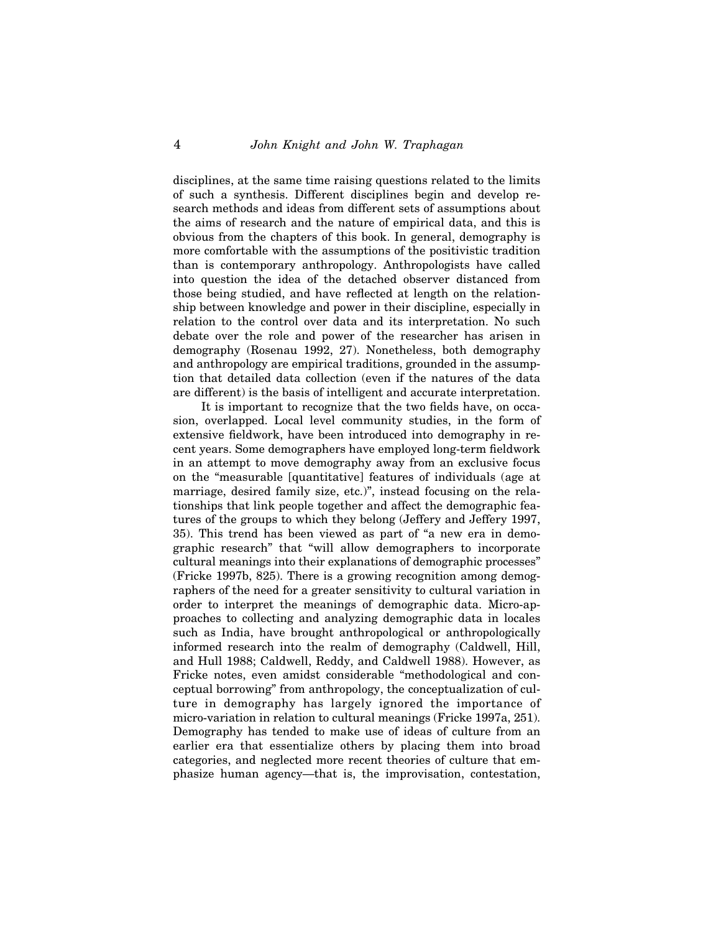disciplines, at the same time raising questions related to the limits of such a synthesis. Different disciplines begin and develop research methods and ideas from different sets of assumptions about the aims of research and the nature of empirical data, and this is obvious from the chapters of this book. In general, demography is more comfortable with the assumptions of the positivistic tradition than is contemporary anthropology. Anthropologists have called into question the idea of the detached observer distanced from those being studied, and have reflected at length on the relationship between knowledge and power in their discipline, especially in relation to the control over data and its interpretation. No such debate over the role and power of the researcher has arisen in demography (Rosenau 1992, 27). Nonetheless, both demography and anthropology are empirical traditions, grounded in the assumption that detailed data collection (even if the natures of the data are different) is the basis of intelligent and accurate interpretation.

It is important to recognize that the two fields have, on occasion, overlapped. Local level community studies, in the form of extensive fieldwork, have been introduced into demography in recent years. Some demographers have employed long-term fieldwork in an attempt to move demography away from an exclusive focus on the "measurable [quantitative] features of individuals (age at marriage, desired family size, etc.)", instead focusing on the relationships that link people together and affect the demographic features of the groups to which they belong (Jeffery and Jeffery 1997, 35). This trend has been viewed as part of "a new era in demographic research" that "will allow demographers to incorporate cultural meanings into their explanations of demographic processes" (Fricke 1997b, 825). There is a growing recognition among demographers of the need for a greater sensitivity to cultural variation in order to interpret the meanings of demographic data. Micro-approaches to collecting and analyzing demographic data in locales such as India, have brought anthropological or anthropologically informed research into the realm of demography (Caldwell, Hill, and Hull 1988; Caldwell, Reddy, and Caldwell 1988). However, as Fricke notes, even amidst considerable "methodological and conceptual borrowing" from anthropology, the conceptualization of culture in demography has largely ignored the importance of micro-variation in relation to cultural meanings (Fricke 1997a, 251). Demography has tended to make use of ideas of culture from an earlier era that essentialize others by placing them into broad categories, and neglected more recent theories of culture that emphasize human agency—that is, the improvisation, contestation,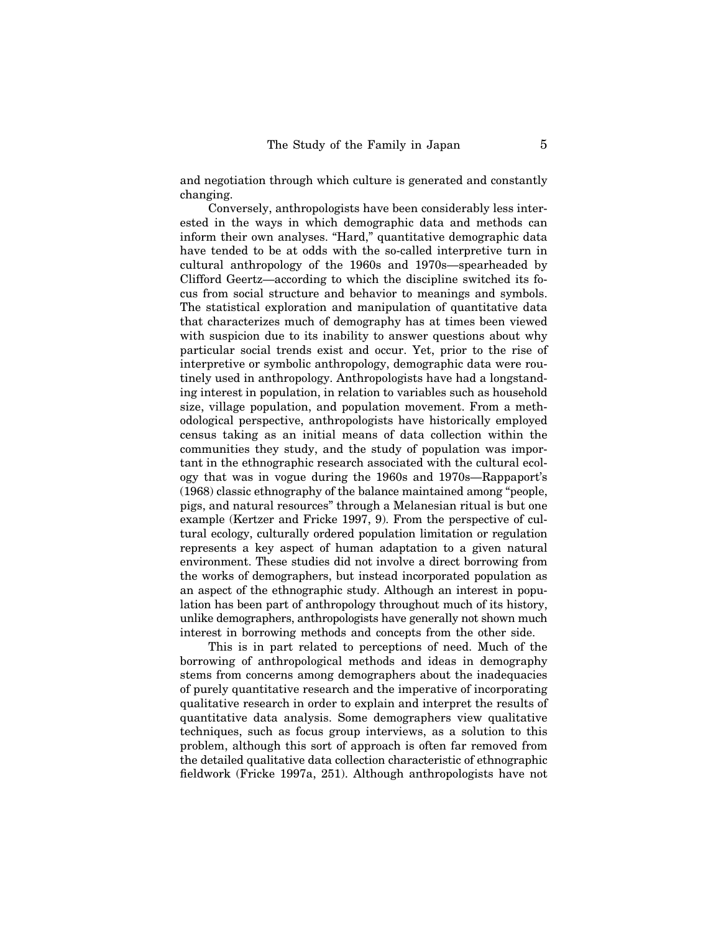and negotiation through which culture is generated and constantly changing.

Conversely, anthropologists have been considerably less interested in the ways in which demographic data and methods can inform their own analyses. "Hard," quantitative demographic data have tended to be at odds with the so-called interpretive turn in cultural anthropology of the 1960s and 1970s—spearheaded by Clifford Geertz—according to which the discipline switched its focus from social structure and behavior to meanings and symbols. The statistical exploration and manipulation of quantitative data that characterizes much of demography has at times been viewed with suspicion due to its inability to answer questions about why particular social trends exist and occur. Yet, prior to the rise of interpretive or symbolic anthropology, demographic data were routinely used in anthropology. Anthropologists have had a longstanding interest in population, in relation to variables such as household size, village population, and population movement. From a methodological perspective, anthropologists have historically employed census taking as an initial means of data collection within the communities they study, and the study of population was important in the ethnographic research associated with the cultural ecology that was in vogue during the 1960s and 1970s—Rappaport's (1968) classic ethnography of the balance maintained among "people, pigs, and natural resources" through a Melanesian ritual is but one example (Kertzer and Fricke 1997, 9). From the perspective of cultural ecology, culturally ordered population limitation or regulation represents a key aspect of human adaptation to a given natural environment. These studies did not involve a direct borrowing from the works of demographers, but instead incorporated population as an aspect of the ethnographic study. Although an interest in population has been part of anthropology throughout much of its history, unlike demographers, anthropologists have generally not shown much interest in borrowing methods and concepts from the other side.

This is in part related to perceptions of need. Much of the borrowing of anthropological methods and ideas in demography stems from concerns among demographers about the inadequacies of purely quantitative research and the imperative of incorporating qualitative research in order to explain and interpret the results of quantitative data analysis. Some demographers view qualitative techniques, such as focus group interviews, as a solution to this problem, although this sort of approach is often far removed from the detailed qualitative data collection characteristic of ethnographic fieldwork (Fricke 1997a, 251). Although anthropologists have not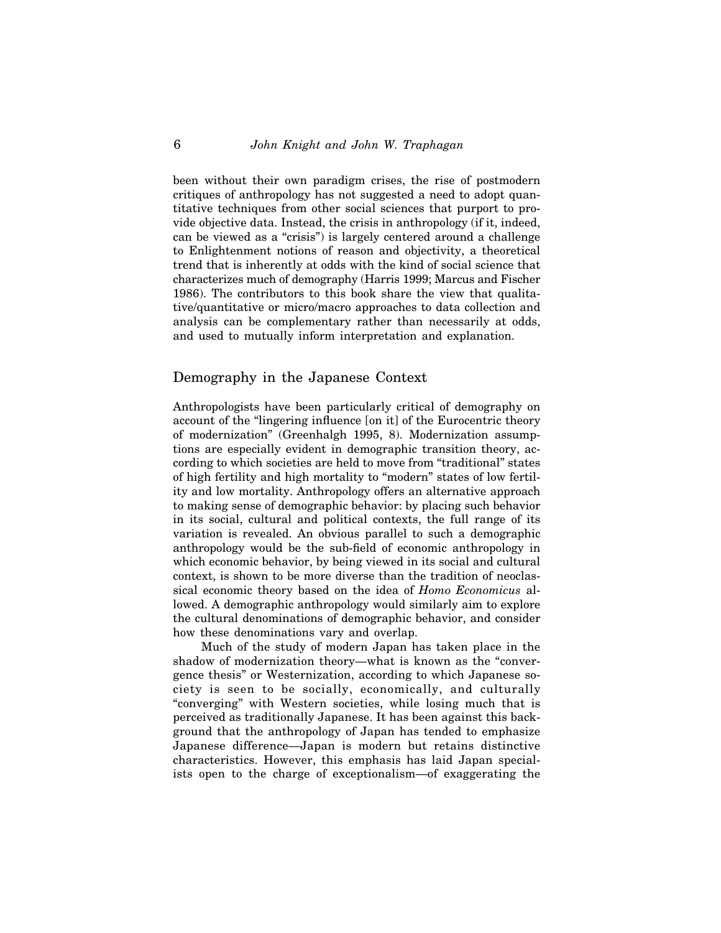been without their own paradigm crises, the rise of postmodern critiques of anthropology has not suggested a need to adopt quantitative techniques from other social sciences that purport to provide objective data. Instead, the crisis in anthropology (if it, indeed, can be viewed as a "crisis") is largely centered around a challenge to Enlightenment notions of reason and objectivity, a theoretical trend that is inherently at odds with the kind of social science that characterizes much of demography (Harris 1999; Marcus and Fischer 1986). The contributors to this book share the view that qualitative/quantitative or micro/macro approaches to data collection and analysis can be complementary rather than necessarily at odds, and used to mutually inform interpretation and explanation.

### Demography in the Japanese Context

Anthropologists have been particularly critical of demography on account of the "lingering influence [on it] of the Eurocentric theory of modernization" (Greenhalgh 1995, 8). Modernization assumptions are especially evident in demographic transition theory, according to which societies are held to move from "traditional" states of high fertility and high mortality to "modern" states of low fertility and low mortality. Anthropology offers an alternative approach to making sense of demographic behavior: by placing such behavior in its social, cultural and political contexts, the full range of its variation is revealed. An obvious parallel to such a demographic anthropology would be the sub-field of economic anthropology in which economic behavior, by being viewed in its social and cultural context, is shown to be more diverse than the tradition of neoclassical economic theory based on the idea of Homo Economicus allowed. A demographic anthropology would similarly aim to explore the cultural denominations of demographic behavior, and consider how these denominations vary and overlap.

Much of the study of modern Japan has taken place in the shadow of modernization theory—what is known as the "convergence thesis" or Westernization, according to which Japanese society is seen to be socially, economically, and culturally "converging" with Western societies, while losing much that is perceived as traditionally Japanese. It has been against this background that the anthropology of Japan has tended to emphasize Japanese difference—Japan is modern but retains distinctive characteristics. However, this emphasis has laid Japan specialists open to the charge of exceptionalism—of exaggerating the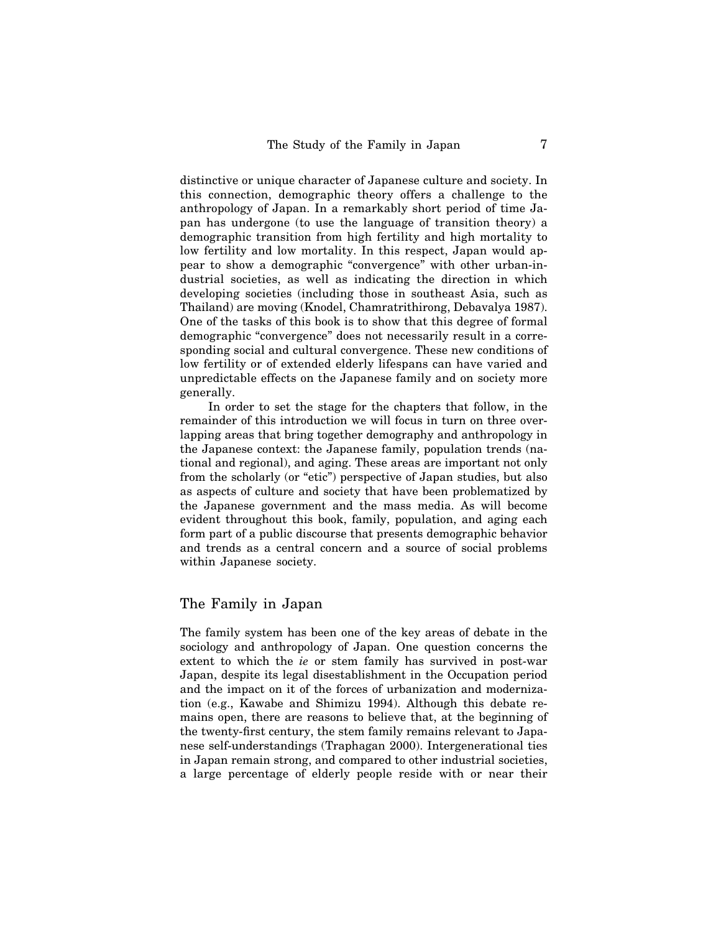distinctive or unique character of Japanese culture and society. In this connection, demographic theory offers a challenge to the anthropology of Japan. In a remarkably short period of time Japan has undergone (to use the language of transition theory) a demographic transition from high fertility and high mortality to low fertility and low mortality. In this respect, Japan would appear to show a demographic "convergence" with other urban-industrial societies, as well as indicating the direction in which developing societies (including those in southeast Asia, such as Thailand) are moving (Knodel, Chamratrithirong, Debavalya 1987). One of the tasks of this book is to show that this degree of formal demographic "convergence" does not necessarily result in a corresponding social and cultural convergence. These new conditions of low fertility or of extended elderly lifespans can have varied and unpredictable effects on the Japanese family and on society more generally.

In order to set the stage for the chapters that follow, in the remainder of this introduction we will focus in turn on three overlapping areas that bring together demography and anthropology in the Japanese context: the Japanese family, population trends (national and regional), and aging. These areas are important not only from the scholarly (or "etic") perspective of Japan studies, but also as aspects of culture and society that have been problematized by the Japanese government and the mass media. As will become evident throughout this book, family, population, and aging each form part of a public discourse that presents demographic behavior and trends as a central concern and a source of social problems within Japanese society.

#### The Family in Japan

The family system has been one of the key areas of debate in the sociology and anthropology of Japan. One question concerns the extent to which the *ie* or stem family has survived in post-war Japan, despite its legal disestablishment in the Occupation period and the impact on it of the forces of urbanization and modernization (e.g., Kawabe and Shimizu 1994). Although this debate remains open, there are reasons to believe that, at the beginning of the twenty-first century, the stem family remains relevant to Japanese self-understandings (Traphagan 2000). Intergenerational ties in Japan remain strong, and compared to other industrial societies, a large percentage of elderly people reside with or near their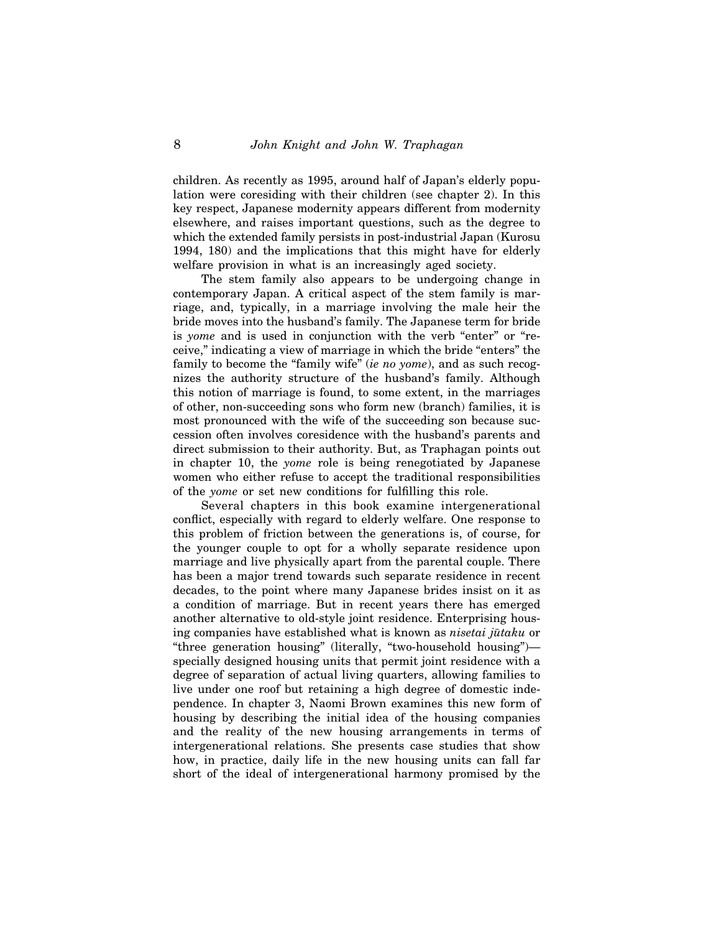children. As recently as 1995, around half of Japan's elderly population were coresiding with their children (see chapter 2). In this key respect, Japanese modernity appears different from modernity elsewhere, and raises important questions, such as the degree to which the extended family persists in post-industrial Japan (Kurosu 1994, 180) and the implications that this might have for elderly welfare provision in what is an increasingly aged society.

The stem family also appears to be undergoing change in contemporary Japan. A critical aspect of the stem family is marriage, and, typically, in a marriage involving the male heir the bride moves into the husband's family. The Japanese term for bride is *yome* and is used in conjunction with the verb "enter" or "receive," indicating a view of marriage in which the bride "enters" the family to become the "family wife" (ie no yome), and as such recognizes the authority structure of the husband's family. Although this notion of marriage is found, to some extent, in the marriages of other, non-succeeding sons who form new (branch) families, it is most pronounced with the wife of the succeeding son because succession often involves coresidence with the husband's parents and direct submission to their authority. But, as Traphagan points out in chapter 10, the yome role is being renegotiated by Japanese women who either refuse to accept the traditional responsibilities of the yome or set new conditions for fulfilling this role.

Several chapters in this book examine intergenerational conflict, especially with regard to elderly welfare. One response to this problem of friction between the generations is, of course, for the younger couple to opt for a wholly separate residence upon marriage and live physically apart from the parental couple. There has been a major trend towards such separate residence in recent decades, to the point where many Japanese brides insist on it as a condition of marriage. But in recent years there has emerged another alternative to old-style joint residence. Enterprising housing companies have established what is known as *nisetai jūtaku* or "three generation housing" (literally, "two-household housing") specially designed housing units that permit joint residence with a degree of separation of actual living quarters, allowing families to live under one roof but retaining a high degree of domestic independence. In chapter 3, Naomi Brown examines this new form of housing by describing the initial idea of the housing companies and the reality of the new housing arrangements in terms of intergenerational relations. She presents case studies that show how, in practice, daily life in the new housing units can fall far short of the ideal of intergenerational harmony promised by the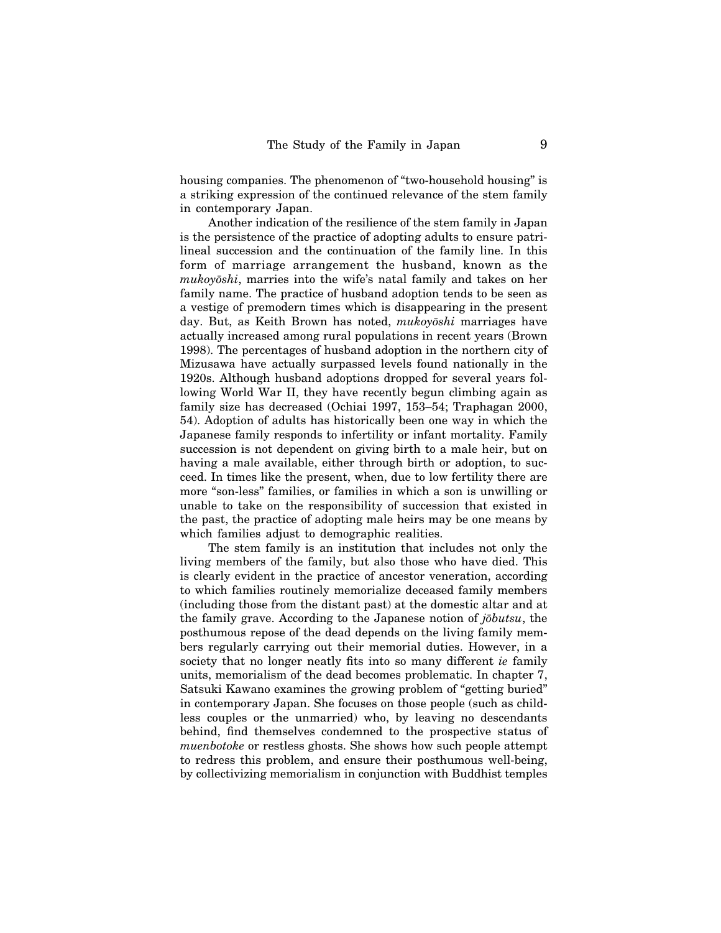housing companies. The phenomenon of "two-household housing" is a striking expression of the continued relevance of the stem family in contemporary Japan.

Another indication of the resilience of the stem family in Japan is the persistence of the practice of adopting adults to ensure patrilineal succession and the continuation of the family line. In this form of marriage arrangement the husband, known as the mukoyøshi, marries into the wife's natal family and takes on her family name. The practice of husband adoption tends to be seen as a vestige of premodern times which is disappearing in the present day. But, as Keith Brown has noted, *mukoyoshi* marriages have actually increased among rural populations in recent years (Brown 1998). The percentages of husband adoption in the northern city of Mizusawa have actually surpassed levels found nationally in the 1920s. Although husband adoptions dropped for several years following World War II, they have recently begun climbing again as family size has decreased (Ochiai 1997, 153–54; Traphagan 2000, 54). Adoption of adults has historically been one way in which the Japanese family responds to infertility or infant mortality. Family succession is not dependent on giving birth to a male heir, but on having a male available, either through birth or adoption, to succeed. In times like the present, when, due to low fertility there are more "son-less" families, or families in which a son is unwilling or unable to take on the responsibility of succession that existed in the past, the practice of adopting male heirs may be one means by which families adjust to demographic realities.

The stem family is an institution that includes not only the living members of the family, but also those who have died. This is clearly evident in the practice of ancestor veneration, according to which families routinely memorialize deceased family members (including those from the distant past) at the domestic altar and at the family grave. According to the Japanese notion of *jobutsu*, the posthumous repose of the dead depends on the living family members regularly carrying out their memorial duties. However, in a society that no longer neatly fits into so many different ie family units, memorialism of the dead becomes problematic. In chapter 7, Satsuki Kawano examines the growing problem of "getting buried" in contemporary Japan. She focuses on those people (such as childless couples or the unmarried) who, by leaving no descendants behind, find themselves condemned to the prospective status of muenbotoke or restless ghosts. She shows how such people attempt to redress this problem, and ensure their posthumous well-being, by collectivizing memorialism in conjunction with Buddhist temples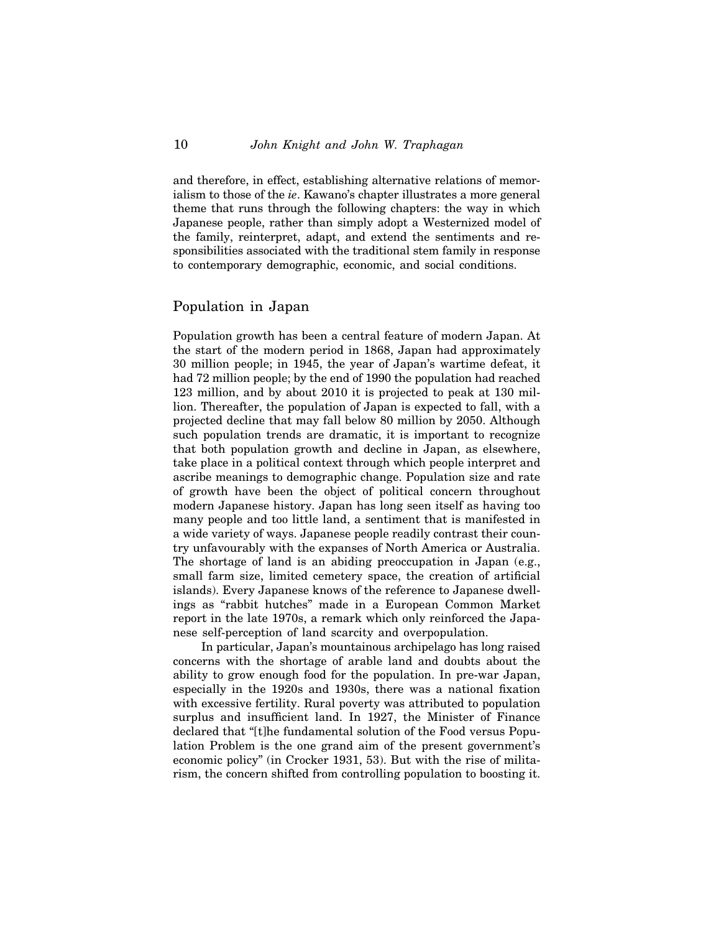and therefore, in effect, establishing alternative relations of memorialism to those of the ie. Kawano's chapter illustrates a more general theme that runs through the following chapters: the way in which Japanese people, rather than simply adopt a Westernized model of the family, reinterpret, adapt, and extend the sentiments and responsibilities associated with the traditional stem family in response to contemporary demographic, economic, and social conditions.

### Population in Japan

Population growth has been a central feature of modern Japan. At the start of the modern period in 1868, Japan had approximately 30 million people; in 1945, the year of Japan's wartime defeat, it had 72 million people; by the end of 1990 the population had reached 123 million, and by about 2010 it is projected to peak at 130 million. Thereafter, the population of Japan is expected to fall, with a projected decline that may fall below 80 million by 2050. Although such population trends are dramatic, it is important to recognize that both population growth and decline in Japan, as elsewhere, take place in a political context through which people interpret and ascribe meanings to demographic change. Population size and rate of growth have been the object of political concern throughout modern Japanese history. Japan has long seen itself as having too many people and too little land, a sentiment that is manifested in a wide variety of ways. Japanese people readily contrast their country unfavourably with the expanses of North America or Australia. The shortage of land is an abiding preoccupation in Japan (e.g., small farm size, limited cemetery space, the creation of artificial islands). Every Japanese knows of the reference to Japanese dwellings as "rabbit hutches" made in a European Common Market report in the late 1970s, a remark which only reinforced the Japanese self-perception of land scarcity and overpopulation.

In particular, Japan's mountainous archipelago has long raised concerns with the shortage of arable land and doubts about the ability to grow enough food for the population. In pre-war Japan, especially in the 1920s and 1930s, there was a national fixation with excessive fertility. Rural poverty was attributed to population surplus and insufficient land. In 1927, the Minister of Finance declared that "[t]he fundamental solution of the Food versus Population Problem is the one grand aim of the present government's economic policy" (in Crocker 1931, 53). But with the rise of militarism, the concern shifted from controlling population to boosting it.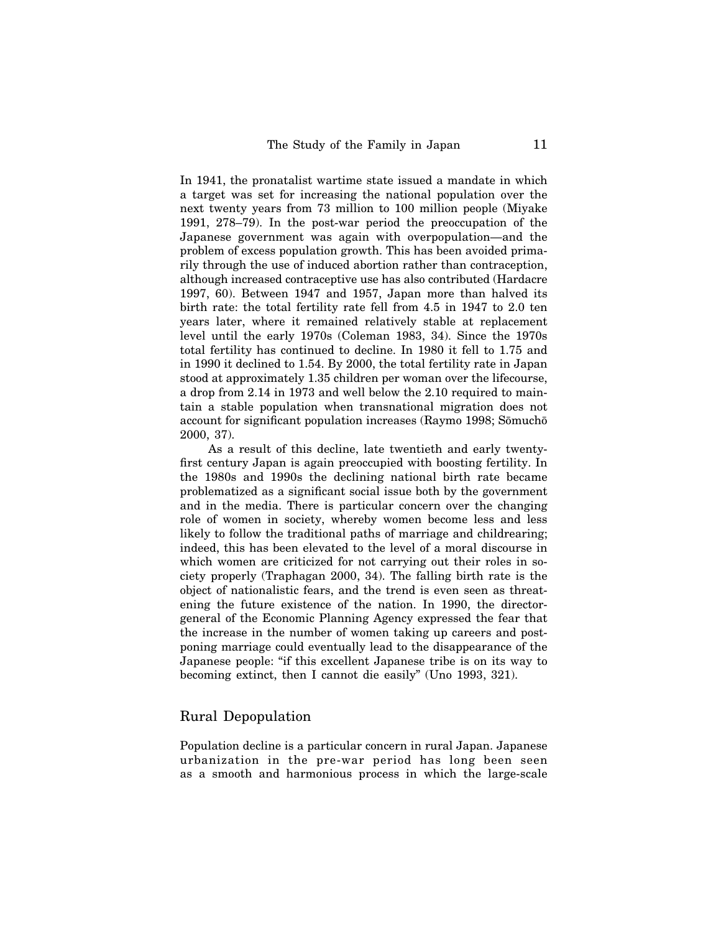In 1941, the pronatalist wartime state issued a mandate in which a target was set for increasing the national population over the next twenty years from 73 million to 100 million people (Miyake 1991, 278–79). In the post-war period the preoccupation of the Japanese government was again with overpopulation—and the problem of excess population growth. This has been avoided primarily through the use of induced abortion rather than contraception, although increased contraceptive use has also contributed (Hardacre 1997, 60). Between 1947 and 1957, Japan more than halved its birth rate: the total fertility rate fell from 4.5 in 1947 to 2.0 ten years later, where it remained relatively stable at replacement level until the early 1970s (Coleman 1983, 34). Since the 1970s total fertility has continued to decline. In 1980 it fell to 1.75 and in 1990 it declined to 1.54. By 2000, the total fertility rate in Japan stood at approximately 1.35 children per woman over the lifecourse, a drop from 2.14 in 1973 and well below the 2.10 required to maintain a stable population when transnational migration does not account for significant population increases (Raymo 1998; Sōmuchō 2000, 37).

As a result of this decline, late twentieth and early twentyfirst century Japan is again preoccupied with boosting fertility. In the 1980s and 1990s the declining national birth rate became problematized as a significant social issue both by the government and in the media. There is particular concern over the changing role of women in society, whereby women become less and less likely to follow the traditional paths of marriage and childrearing; indeed, this has been elevated to the level of a moral discourse in which women are criticized for not carrying out their roles in society properly (Traphagan 2000, 34). The falling birth rate is the object of nationalistic fears, and the trend is even seen as threatening the future existence of the nation. In 1990, the directorgeneral of the Economic Planning Agency expressed the fear that the increase in the number of women taking up careers and postponing marriage could eventually lead to the disappearance of the Japanese people: "if this excellent Japanese tribe is on its way to becoming extinct, then I cannot die easily" (Uno 1993, 321).

#### Rural Depopulation

Population decline is a particular concern in rural Japan. Japanese urbanization in the pre-war period has long been seen as a smooth and harmonious process in which the large-scale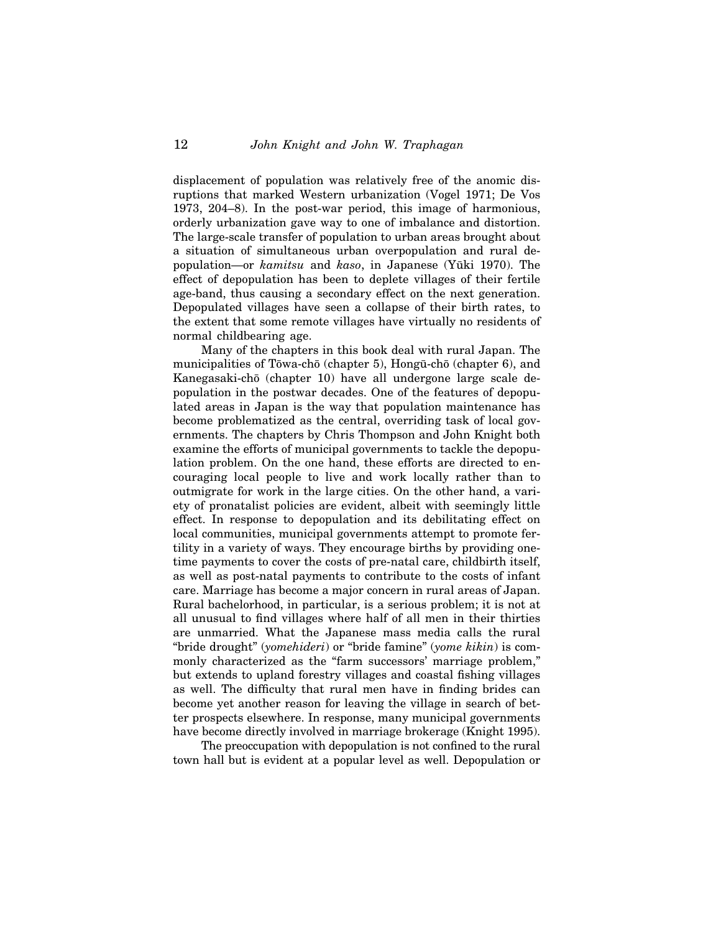displacement of population was relatively free of the anomic disruptions that marked Western urbanization (Vogel 1971; De Vos 1973, 204–8). In the post-war period, this image of harmonious, orderly urbanization gave way to one of imbalance and distortion. The large-scale transfer of population to urban areas brought about a situation of simultaneous urban overpopulation and rural depopulation—or kamitsu and kaso, in Japanese (Yūki 1970). The effect of depopulation has been to deplete villages of their fertile age-band, thus causing a secondary effect on the next generation. Depopulated villages have seen a collapse of their birth rates, to the extent that some remote villages have virtually no residents of normal childbearing age.

Many of the chapters in this book deal with rural Japan. The municipalities of Tōwa-chō (chapter 5), Hongū-chō (chapter 6), and Kanegasaki-chø (chapter 10) have all undergone large scale depopulation in the postwar decades. One of the features of depopulated areas in Japan is the way that population maintenance has become problematized as the central, overriding task of local governments. The chapters by Chris Thompson and John Knight both examine the efforts of municipal governments to tackle the depopulation problem. On the one hand, these efforts are directed to encouraging local people to live and work locally rather than to outmigrate for work in the large cities. On the other hand, a variety of pronatalist policies are evident, albeit with seemingly little effect. In response to depopulation and its debilitating effect on local communities, municipal governments attempt to promote fertility in a variety of ways. They encourage births by providing onetime payments to cover the costs of pre-natal care, childbirth itself, as well as post-natal payments to contribute to the costs of infant care. Marriage has become a major concern in rural areas of Japan. Rural bachelorhood, in particular, is a serious problem; it is not at all unusual to find villages where half of all men in their thirties are unmarried. What the Japanese mass media calls the rural "bride drought" (yomehideri) or "bride famine" (yome kikin) is commonly characterized as the "farm successors' marriage problem," but extends to upland forestry villages and coastal fishing villages as well. The difficulty that rural men have in finding brides can become yet another reason for leaving the village in search of better prospects elsewhere. In response, many municipal governments have become directly involved in marriage brokerage (Knight 1995).

The preoccupation with depopulation is not confined to the rural town hall but is evident at a popular level as well. Depopulation or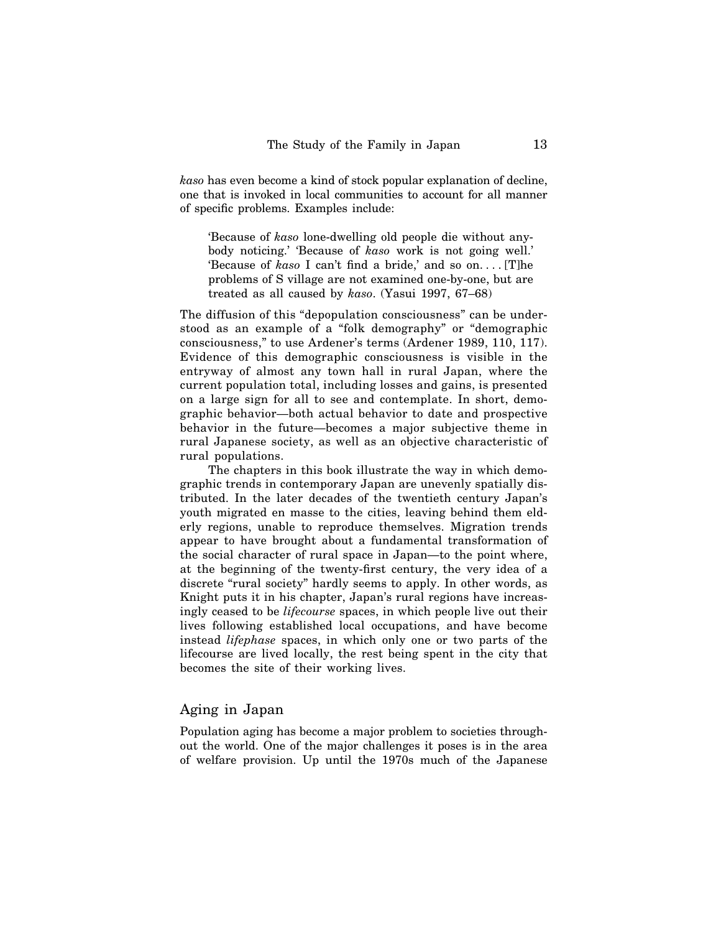kaso has even become a kind of stock popular explanation of decline, one that is invoked in local communities to account for all manner of specific problems. Examples include:

'Because of kaso lone-dwelling old people die without anybody noticing.' 'Because of kaso work is not going well.' 'Because of kaso I can't find a bride,' and so on.... [T]he problems of S village are not examined one-by-one, but are treated as all caused by kaso. (Yasui 1997, 67–68)

The diffusion of this "depopulation consciousness" can be understood as an example of a "folk demography" or "demographic consciousness," to use Ardener's terms (Ardener 1989, 110, 117). Evidence of this demographic consciousness is visible in the entryway of almost any town hall in rural Japan, where the current population total, including losses and gains, is presented on a large sign for all to see and contemplate. In short, demographic behavior—both actual behavior to date and prospective behavior in the future—becomes a major subjective theme in rural Japanese society, as well as an objective characteristic of rural populations.

The chapters in this book illustrate the way in which demographic trends in contemporary Japan are unevenly spatially distributed. In the later decades of the twentieth century Japan's youth migrated en masse to the cities, leaving behind them elderly regions, unable to reproduce themselves. Migration trends appear to have brought about a fundamental transformation of the social character of rural space in Japan—to the point where, at the beginning of the twenty-first century, the very idea of a discrete "rural society" hardly seems to apply. In other words, as Knight puts it in his chapter, Japan's rural regions have increasingly ceased to be lifecourse spaces, in which people live out their lives following established local occupations, and have become instead lifephase spaces, in which only one or two parts of the lifecourse are lived locally, the rest being spent in the city that becomes the site of their working lives.

#### Aging in Japan

Population aging has become a major problem to societies throughout the world. One of the major challenges it poses is in the area of welfare provision. Up until the 1970s much of the Japanese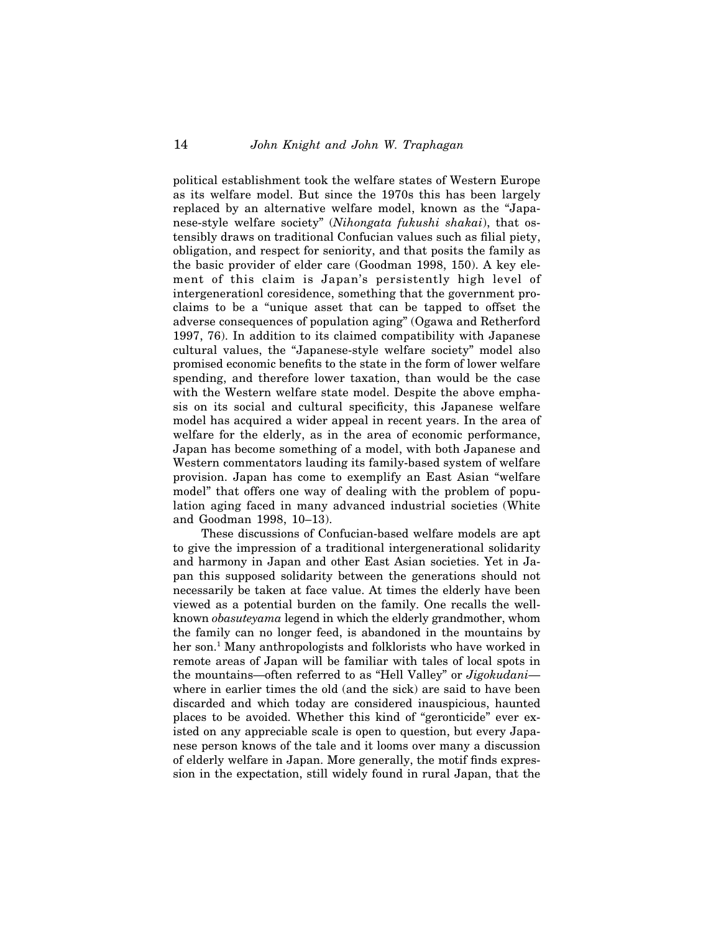political establishment took the welfare states of Western Europe as its welfare model. But since the 1970s this has been largely replaced by an alternative welfare model, known as the "Japanese-style welfare society" (Nihongata fukushi shakai), that ostensibly draws on traditional Confucian values such as filial piety, obligation, and respect for seniority, and that posits the family as the basic provider of elder care (Goodman 1998, 150). A key element of this claim is Japan's persistently high level of intergenerationl coresidence, something that the government proclaims to be a "unique asset that can be tapped to offset the adverse consequences of population aging" (Ogawa and Retherford 1997, 76). In addition to its claimed compatibility with Japanese cultural values, the "Japanese-style welfare society" model also promised economic benefits to the state in the form of lower welfare spending, and therefore lower taxation, than would be the case with the Western welfare state model. Despite the above emphasis on its social and cultural specificity, this Japanese welfare model has acquired a wider appeal in recent years. In the area of welfare for the elderly, as in the area of economic performance, Japan has become something of a model, with both Japanese and Western commentators lauding its family-based system of welfare provision. Japan has come to exemplify an East Asian "welfare model" that offers one way of dealing with the problem of population aging faced in many advanced industrial societies (White and Goodman 1998, 10–13).

These discussions of Confucian-based welfare models are apt to give the impression of a traditional intergenerational solidarity and harmony in Japan and other East Asian societies. Yet in Japan this supposed solidarity between the generations should not necessarily be taken at face value. At times the elderly have been viewed as a potential burden on the family. One recalls the wellknown obasuteyama legend in which the elderly grandmother, whom the family can no longer feed, is abandoned in the mountains by her son.1 Many anthropologists and folklorists who have worked in remote areas of Japan will be familiar with tales of local spots in the mountains—often referred to as "Hell Valley" or *Jigokudani* where in earlier times the old (and the sick) are said to have been discarded and which today are considered inauspicious, haunted places to be avoided. Whether this kind of "geronticide" ever existed on any appreciable scale is open to question, but every Japanese person knows of the tale and it looms over many a discussion of elderly welfare in Japan. More generally, the motif finds expression in the expectation, still widely found in rural Japan, that the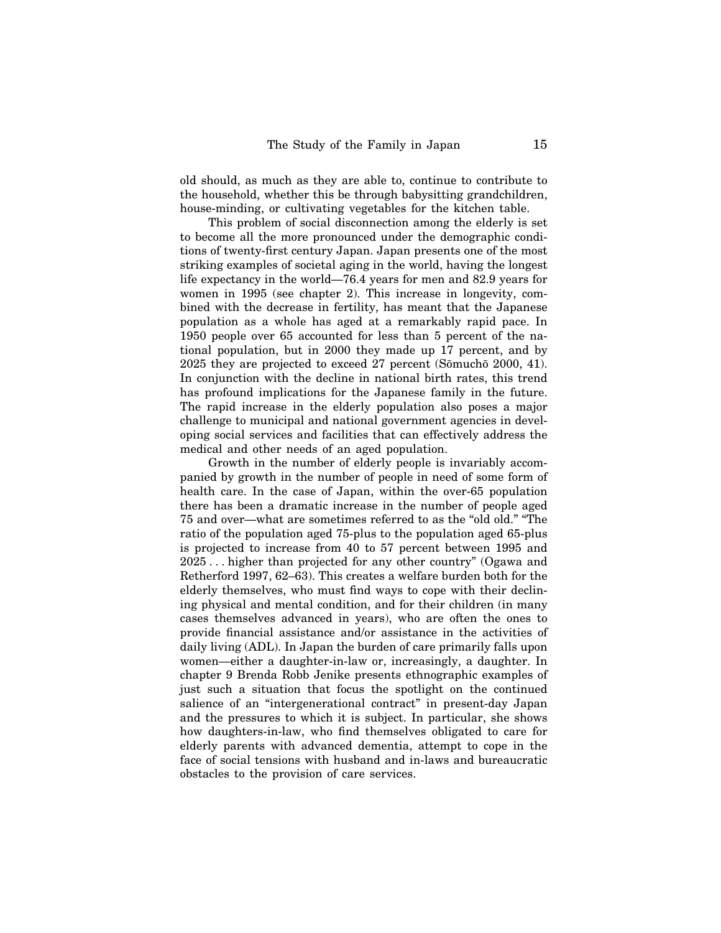old should, as much as they are able to, continue to contribute to the household, whether this be through babysitting grandchildren, house-minding, or cultivating vegetables for the kitchen table.

This problem of social disconnection among the elderly is set to become all the more pronounced under the demographic conditions of twenty-first century Japan. Japan presents one of the most striking examples of societal aging in the world, having the longest life expectancy in the world—76.4 years for men and 82.9 years for women in 1995 (see chapter 2). This increase in longevity, combined with the decrease in fertility, has meant that the Japanese population as a whole has aged at a remarkably rapid pace. In 1950 people over 65 accounted for less than 5 percent of the national population, but in 2000 they made up 17 percent, and by 2025 they are projected to exceed 27 percent (Sømuchø 2000, 41). In conjunction with the decline in national birth rates, this trend has profound implications for the Japanese family in the future. The rapid increase in the elderly population also poses a major challenge to municipal and national government agencies in developing social services and facilities that can effectively address the medical and other needs of an aged population.

Growth in the number of elderly people is invariably accompanied by growth in the number of people in need of some form of health care. In the case of Japan, within the over-65 population there has been a dramatic increase in the number of people aged 75 and over—what are sometimes referred to as the "old old." "The ratio of the population aged 75-plus to the population aged 65-plus is projected to increase from 40 to 57 percent between 1995 and 2025 . . . higher than projected for any other country" (Ogawa and Retherford 1997, 62–63). This creates a welfare burden both for the elderly themselves, who must find ways to cope with their declining physical and mental condition, and for their children (in many cases themselves advanced in years), who are often the ones to provide financial assistance and/or assistance in the activities of daily living (ADL). In Japan the burden of care primarily falls upon women—either a daughter-in-law or, increasingly, a daughter. In chapter 9 Brenda Robb Jenike presents ethnographic examples of just such a situation that focus the spotlight on the continued salience of an "intergenerational contract" in present-day Japan and the pressures to which it is subject. In particular, she shows how daughters-in-law, who find themselves obligated to care for elderly parents with advanced dementia, attempt to cope in the face of social tensions with husband and in-laws and bureaucratic obstacles to the provision of care services.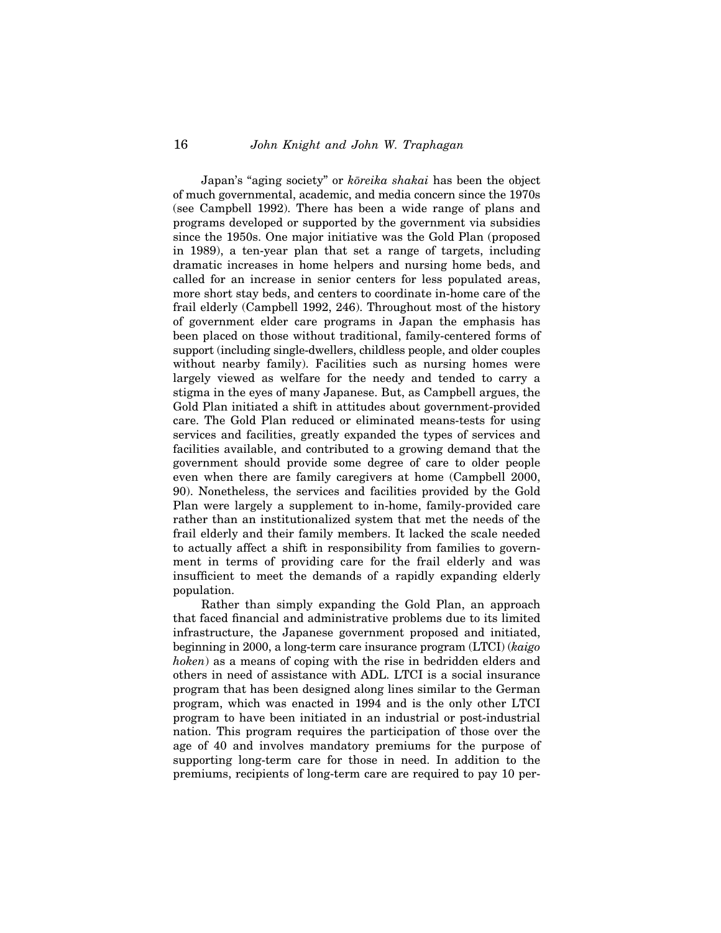Japan's "aging society" or køreika shakai has been the object of much governmental, academic, and media concern since the 1970s (see Campbell 1992). There has been a wide range of plans and programs developed or supported by the government via subsidies since the 1950s. One major initiative was the Gold Plan (proposed in 1989), a ten-year plan that set a range of targets, including dramatic increases in home helpers and nursing home beds, and called for an increase in senior centers for less populated areas, more short stay beds, and centers to coordinate in-home care of the frail elderly (Campbell 1992, 246). Throughout most of the history of government elder care programs in Japan the emphasis has been placed on those without traditional, family-centered forms of support (including single-dwellers, childless people, and older couples without nearby family). Facilities such as nursing homes were largely viewed as welfare for the needy and tended to carry a stigma in the eyes of many Japanese. But, as Campbell argues, the Gold Plan initiated a shift in attitudes about government-provided care. The Gold Plan reduced or eliminated means-tests for using services and facilities, greatly expanded the types of services and facilities available, and contributed to a growing demand that the government should provide some degree of care to older people even when there are family caregivers at home (Campbell 2000, 90). Nonetheless, the services and facilities provided by the Gold Plan were largely a supplement to in-home, family-provided care rather than an institutionalized system that met the needs of the frail elderly and their family members. It lacked the scale needed to actually affect a shift in responsibility from families to government in terms of providing care for the frail elderly and was insufficient to meet the demands of a rapidly expanding elderly population.

Rather than simply expanding the Gold Plan, an approach that faced financial and administrative problems due to its limited infrastructure, the Japanese government proposed and initiated, beginning in 2000, a long-term care insurance program (LTCI) (kaigo hoken) as a means of coping with the rise in bedridden elders and others in need of assistance with ADL. LTCI is a social insurance program that has been designed along lines similar to the German program, which was enacted in 1994 and is the only other LTCI program to have been initiated in an industrial or post-industrial nation. This program requires the participation of those over the age of 40 and involves mandatory premiums for the purpose of supporting long-term care for those in need. In addition to the premiums, recipients of long-term care are required to pay 10 per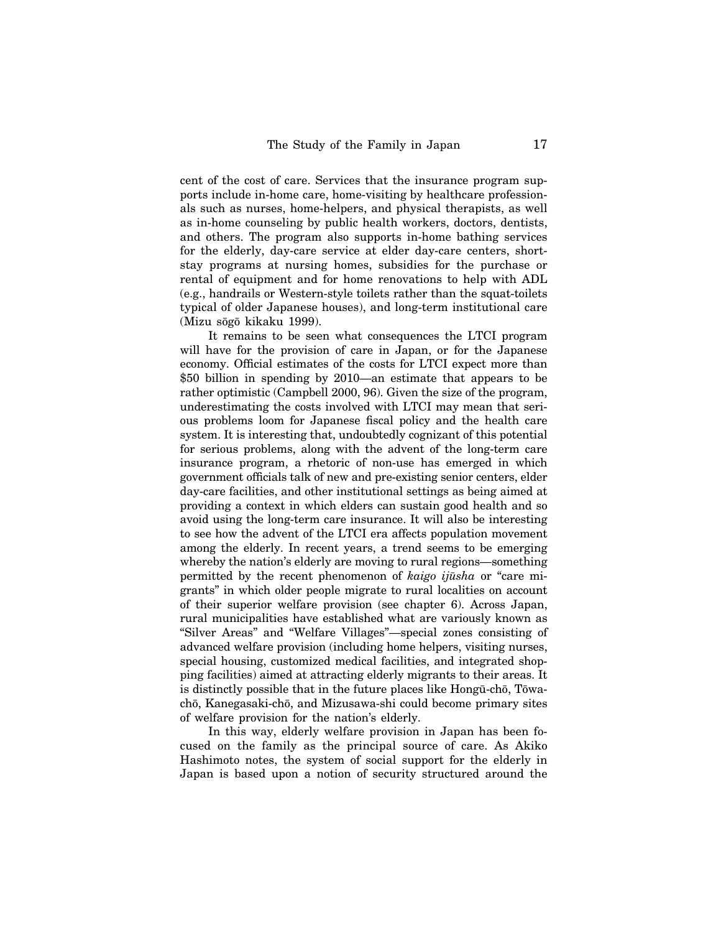cent of the cost of care. Services that the insurance program supports include in-home care, home-visiting by healthcare professionals such as nurses, home-helpers, and physical therapists, as well as in-home counseling by public health workers, doctors, dentists, and others. The program also supports in-home bathing services for the elderly, day-care service at elder day-care centers, shortstay programs at nursing homes, subsidies for the purchase or rental of equipment and for home renovations to help with ADL (e.g., handrails or Western-style toilets rather than the squat-toilets typical of older Japanese houses), and long-term institutional care (Mizu søgø kikaku 1999).

It remains to be seen what consequences the LTCI program will have for the provision of care in Japan, or for the Japanese economy. Official estimates of the costs for LTCI expect more than \$50 billion in spending by 2010—an estimate that appears to be rather optimistic (Campbell 2000, 96). Given the size of the program, underestimating the costs involved with LTCI may mean that serious problems loom for Japanese fiscal policy and the health care system. It is interesting that, undoubtedly cognizant of this potential for serious problems, along with the advent of the long-term care insurance program, a rhetoric of non-use has emerged in which government officials talk of new and pre-existing senior centers, elder day-care facilities, and other institutional settings as being aimed at providing a context in which elders can sustain good health and so avoid using the long-term care insurance. It will also be interesting to see how the advent of the LTCI era affects population movement among the elderly. In recent years, a trend seems to be emerging whereby the nation's elderly are moving to rural regions—something permitted by the recent phenomenon of kaigo ijūsha or "care migrants" in which older people migrate to rural localities on account of their superior welfare provision (see chapter 6). Across Japan, rural municipalities have established what are variously known as "Silver Areas" and "Welfare Villages"—special zones consisting of advanced welfare provision (including home helpers, visiting nurses, special housing, customized medical facilities, and integrated shopping facilities) aimed at attracting elderly migrants to their areas. It is distinctly possible that in the future places like Hongū-chō, Tōwachø, Kanegasaki-chø, and Mizusawa-shi could become primary sites of welfare provision for the nation's elderly.

In this way, elderly welfare provision in Japan has been focused on the family as the principal source of care. As Akiko Hashimoto notes, the system of social support for the elderly in Japan is based upon a notion of security structured around the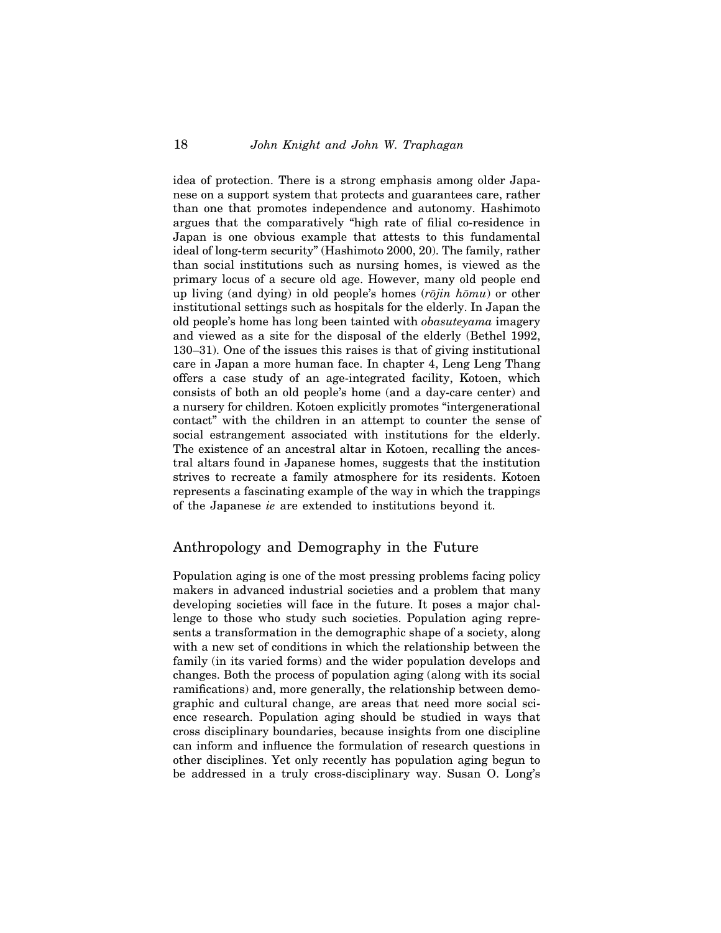idea of protection. There is a strong emphasis among older Japanese on a support system that protects and guarantees care, rather than one that promotes independence and autonomy. Hashimoto argues that the comparatively "high rate of filial co-residence in Japan is one obvious example that attests to this fundamental ideal of long-term security" (Hashimoto 2000, 20). The family, rather than social institutions such as nursing homes, is viewed as the primary locus of a secure old age. However, many old people end up living (and dying) in old people's homes  $(r\bar{\rho}j\bar{\rho}n h\bar{\rho}m\bar{\nu})$  or other institutional settings such as hospitals for the elderly. In Japan the old people's home has long been tainted with obasuteyama imagery and viewed as a site for the disposal of the elderly (Bethel 1992, 130–31). One of the issues this raises is that of giving institutional care in Japan a more human face. In chapter 4, Leng Leng Thang offers a case study of an age-integrated facility, Kotoen, which consists of both an old people's home (and a day-care center) and a nursery for children. Kotoen explicitly promotes "intergenerational contact" with the children in an attempt to counter the sense of social estrangement associated with institutions for the elderly. The existence of an ancestral altar in Kotoen, recalling the ancestral altars found in Japanese homes, suggests that the institution strives to recreate a family atmosphere for its residents. Kotoen represents a fascinating example of the way in which the trappings of the Japanese ie are extended to institutions beyond it.

# Anthropology and Demography in the Future

Population aging is one of the most pressing problems facing policy makers in advanced industrial societies and a problem that many developing societies will face in the future. It poses a major challenge to those who study such societies. Population aging represents a transformation in the demographic shape of a society, along with a new set of conditions in which the relationship between the family (in its varied forms) and the wider population develops and changes. Both the process of population aging (along with its social ramifications) and, more generally, the relationship between demographic and cultural change, are areas that need more social science research. Population aging should be studied in ways that cross disciplinary boundaries, because insights from one discipline can inform and influence the formulation of research questions in other disciplines. Yet only recently has population aging begun to be addressed in a truly cross-disciplinary way. Susan O. Long's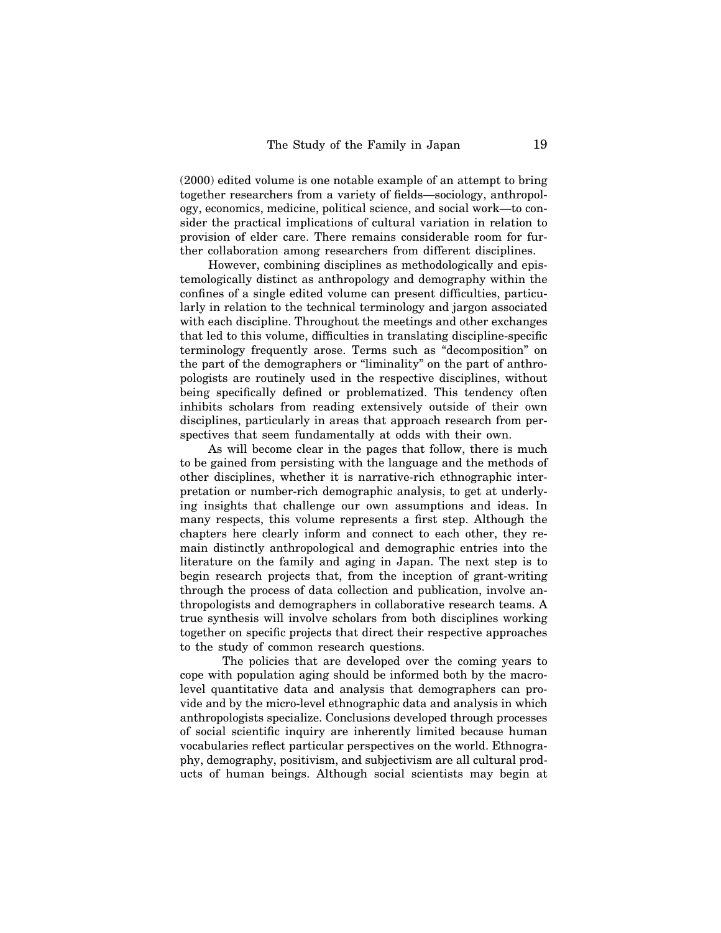(2000) edited volume is one notable example of an attempt to bring together researchers from a variety of fields—sociology, anthropology, economics, medicine, political science, and social work—to consider the practical implications of cultural variation in relation to provision of elder care. There remains considerable room for further collaboration among researchers from different disciplines.

However, combining disciplines as methodologically and epistemologically distinct as anthropology and demography within the confines of a single edited volume can present difficulties, particularly in relation to the technical terminology and jargon associated with each discipline. Throughout the meetings and other exchanges that led to this volume, difficulties in translating discipline-specific terminology frequently arose. Terms such as "decomposition" on the part of the demographers or "liminality" on the part of anthropologists are routinely used in the respective disciplines, without being specifically defined or problematized. This tendency often inhibits scholars from reading extensively outside of their own disciplines, particularly in areas that approach research from perspectives that seem fundamentally at odds with their own.

As will become clear in the pages that follow, there is much to be gained from persisting with the language and the methods of other disciplines, whether it is narrative-rich ethnographic interpretation or number-rich demographic analysis, to get at underlying insights that challenge our own assumptions and ideas. In many respects, this volume represents a first step. Although the chapters here clearly inform and connect to each other, they remain distinctly anthropological and demographic entries into the literature on the family and aging in Japan. The next step is to begin research projects that, from the inception of grant-writing through the process of data collection and publication, involve anthropologists and demographers in collaborative research teams. A true synthesis will involve scholars from both disciplines working together on specific projects that direct their respective approaches to the study of common research questions.

The policies that are developed over the coming years to cope with population aging should be informed both by the macrolevel quantitative data and analysis that demographers can provide and by the micro-level ethnographic data and analysis in which anthropologists specialize. Conclusions developed through processes of social scientific inquiry are inherently limited because human vocabularies reflect particular perspectives on the world. Ethnography, demography, positivism, and subjectivism are all cultural products of human beings. Although social scientists may begin at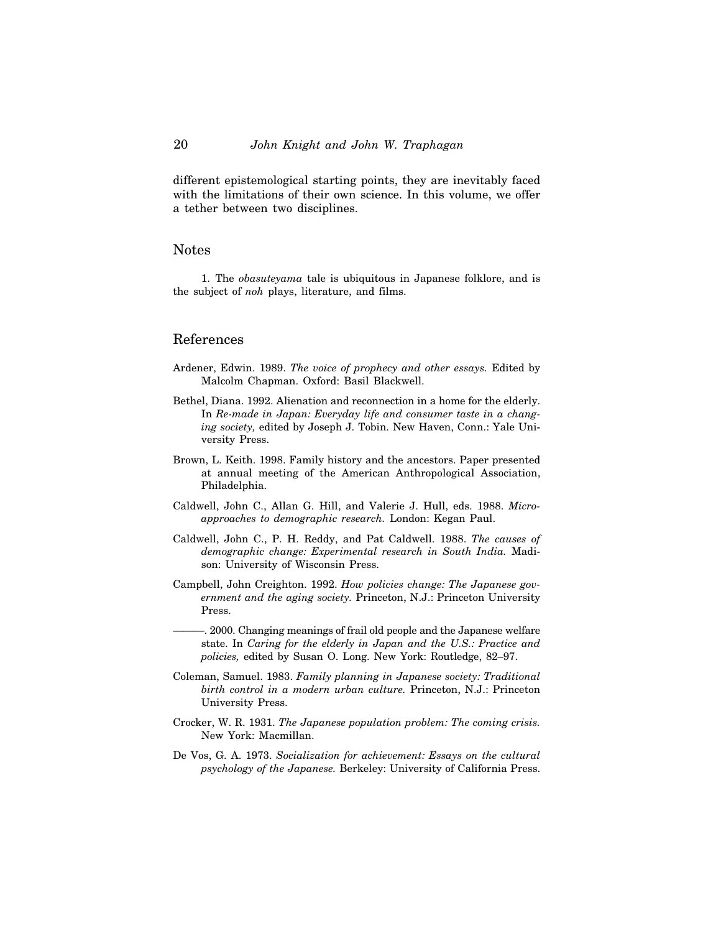different epistemological starting points, they are inevitably faced with the limitations of their own science. In this volume, we offer a tether between two disciplines.

#### Notes

1. The obasuteyama tale is ubiquitous in Japanese folklore, and is the subject of noh plays, literature, and films.

#### References

- Ardener, Edwin. 1989. The voice of prophecy and other essays. Edited by Malcolm Chapman. Oxford: Basil Blackwell.
- Bethel, Diana. 1992. Alienation and reconnection in a home for the elderly. In Re-made in Japan: Everyday life and consumer taste in a changing society, edited by Joseph J. Tobin. New Haven, Conn.: Yale University Press.
- Brown, L. Keith. 1998. Family history and the ancestors. Paper presented at annual meeting of the American Anthropological Association, Philadelphia.
- Caldwell, John C., Allan G. Hill, and Valerie J. Hull, eds. 1988. Microapproaches to demographic research. London: Kegan Paul.
- Caldwell, John C., P. H. Reddy, and Pat Caldwell. 1988. The causes of demographic change: Experimental research in South India. Madison: University of Wisconsin Press.
- Campbell, John Creighton. 1992. How policies change: The Japanese government and the aging society. Princeton, N.J.: Princeton University Press.
- ———. 2000. Changing meanings of frail old people and the Japanese welfare state. In Caring for the elderly in Japan and the U.S.: Practice and policies, edited by Susan O. Long. New York: Routledge, 82–97.
- Coleman, Samuel. 1983. Family planning in Japanese society: Traditional birth control in a modern urban culture. Princeton, N.J.: Princeton University Press.
- Crocker, W. R. 1931. The Japanese population problem: The coming crisis. New York: Macmillan.
- De Vos, G. A. 1973. Socialization for achievement: Essays on the cultural psychology of the Japanese. Berkeley: University of California Press.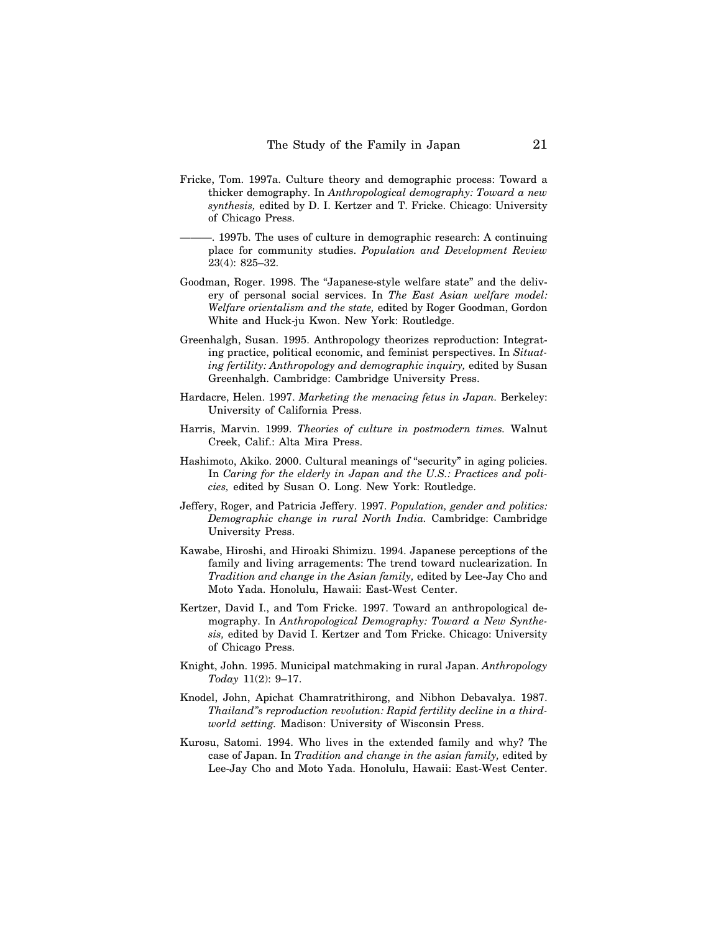- Fricke, Tom. 1997a. Culture theory and demographic process: Toward a thicker demography. In Anthropological demography: Toward a new synthesis, edited by D. I. Kertzer and T. Fricke. Chicago: University of Chicago Press.
	- ———. 1997b. The uses of culture in demographic research: A continuing place for community studies. Population and Development Review 23(4): 825–32.
- Goodman, Roger. 1998. The "Japanese-style welfare state" and the delivery of personal social services. In The East Asian welfare model: Welfare orientalism and the state, edited by Roger Goodman, Gordon White and Huck-ju Kwon. New York: Routledge.
- Greenhalgh, Susan. 1995. Anthropology theorizes reproduction: Integrating practice, political economic, and feminist perspectives. In Situating fertility: Anthropology and demographic inquiry, edited by Susan Greenhalgh. Cambridge: Cambridge University Press.
- Hardacre, Helen. 1997. Marketing the menacing fetus in Japan. Berkeley: University of California Press.
- Harris, Marvin. 1999. Theories of culture in postmodern times. Walnut Creek, Calif.: Alta Mira Press.
- Hashimoto, Akiko. 2000. Cultural meanings of "security" in aging policies. In Caring for the elderly in Japan and the U.S.: Practices and policies, edited by Susan O. Long. New York: Routledge.
- Jeffery, Roger, and Patricia Jeffery. 1997. Population, gender and politics: Demographic change in rural North India. Cambridge: Cambridge University Press.
- Kawabe, Hiroshi, and Hiroaki Shimizu. 1994. Japanese perceptions of the family and living arragements: The trend toward nuclearization. In Tradition and change in the Asian family, edited by Lee-Jay Cho and Moto Yada. Honolulu, Hawaii: East-West Center.
- Kertzer, David I., and Tom Fricke. 1997. Toward an anthropological demography. In Anthropological Demography: Toward a New Synthesis, edited by David I. Kertzer and Tom Fricke. Chicago: University of Chicago Press.
- Knight, John. 1995. Municipal matchmaking in rural Japan. Anthropology Today 11(2): 9–17.
- Knodel, John, Apichat Chamratrithirong, and Nibhon Debavalya. 1987. Thailand"s reproduction revolution: Rapid fertility decline in a thirdworld setting. Madison: University of Wisconsin Press.
- Kurosu, Satomi. 1994. Who lives in the extended family and why? The case of Japan. In Tradition and change in the asian family, edited by Lee-Jay Cho and Moto Yada. Honolulu, Hawaii: East-West Center.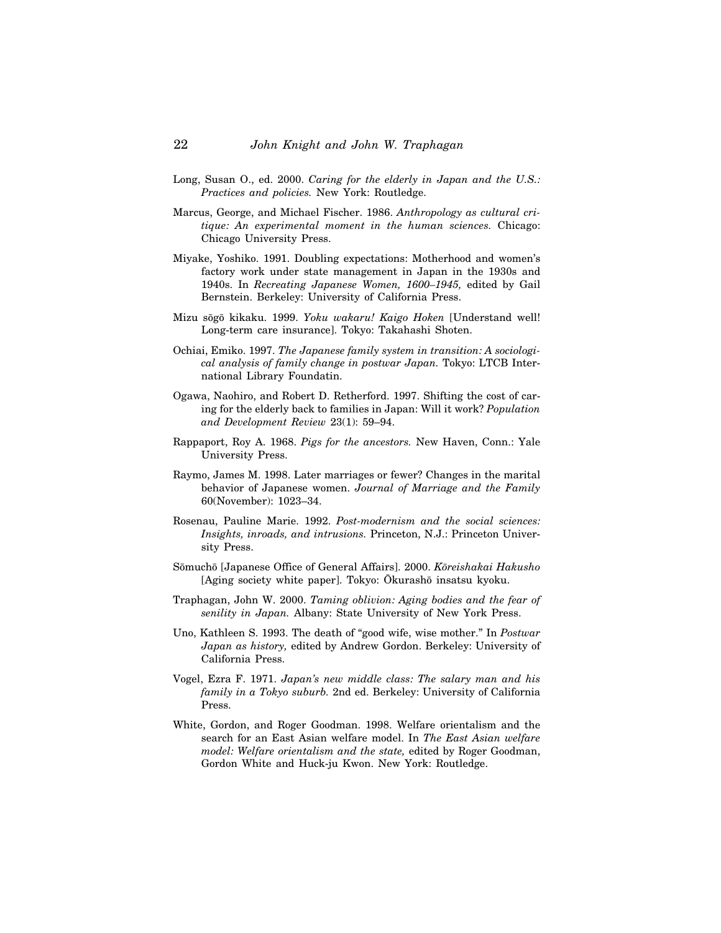- Long, Susan O., ed. 2000. Caring for the elderly in Japan and the U.S.: Practices and policies. New York: Routledge.
- Marcus, George, and Michael Fischer. 1986. Anthropology as cultural critique: An experimental moment in the human sciences. Chicago: Chicago University Press.
- Miyake, Yoshiko. 1991. Doubling expectations: Motherhood and women's factory work under state management in Japan in the 1930s and 1940s. In Recreating Japanese Women, 1600–1945, edited by Gail Bernstein. Berkeley: University of California Press.
- Mizu sögö kikaku. 1999. Yoku wakaru! Kaigo Hoken [Understand well! Long-term care insurance]. Tokyo: Takahashi Shoten.
- Ochiai, Emiko. 1997. The Japanese family system in transition: A sociological analysis of family change in postwar Japan. Tokyo: LTCB International Library Foundatin.
- Ogawa, Naohiro, and Robert D. Retherford. 1997. Shifting the cost of caring for the elderly back to families in Japan: Will it work? Population and Development Review 23(1): 59–94.
- Rappaport, Roy A. 1968. Pigs for the ancestors. New Haven, Conn.: Yale University Press.
- Raymo, James M. 1998. Later marriages or fewer? Changes in the marital behavior of Japanese women. Journal of Marriage and the Family 60(November): 1023–34.
- Rosenau, Pauline Marie. 1992. Post-modernism and the social sciences: Insights, inroads, and intrusions. Princeton, N.J.: Princeton University Press.
- Sømuchø [Japanese Office of General Affairs]. 2000. Køreishakai Hakusho [Aging society white paper]. Tokyo: Økurashø insatsu kyoku.
- Traphagan, John W. 2000. Taming oblivion: Aging bodies and the fear of senility in Japan. Albany: State University of New York Press.
- Uno, Kathleen S. 1993. The death of "good wife, wise mother." In Postwar Japan as history, edited by Andrew Gordon. Berkeley: University of California Press.
- Vogel, Ezra F. 1971. Japan's new middle class: The salary man and his family in a Tokyo suburb. 2nd ed. Berkeley: University of California Press.
- White, Gordon, and Roger Goodman. 1998. Welfare orientalism and the search for an East Asian welfare model. In The East Asian welfare model: Welfare orientalism and the state, edited by Roger Goodman, Gordon White and Huck-ju Kwon. New York: Routledge.